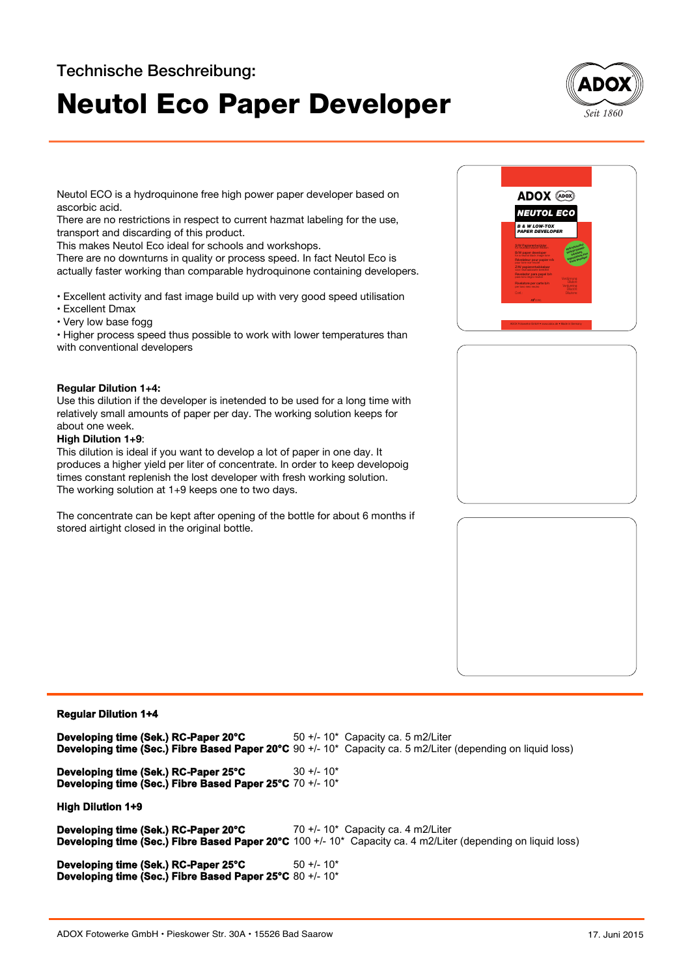# **Neutol Eco Paper Developer** *Seit 1860*



Neutol ECO is a hydroquinone free high power paper developer based on ascorbic acid.

There are no restrictions in respect to current hazmat labeling for the use, transport and discarding of this product.

This makes Neutol Eco ideal for schools and workshops.

There are no downturns in quality or process speed. In fact Neutol Eco is actually faster working than comparable hydroquinone containing developers.

• Excellent activity and fast image build up with very good speed utilisation

- Excellent Dmax
- Very low base fogg

• Higher process speed thus possible to work with lower temperatures than with conventional developers

### **Regular Dilution 1+4:**

Use this dilution if the developer is inetended to be used for a long time with relatively small amounts of paper per day. The working solution keeps for about one week.

### **High Dilution 1+9**:

This dilution is ideal if you want to develop a lot of paper in one day. It produces a higher yield per liter of concentrate. In order to keep developoig times constant replenish the lost developer with fresh working solution. The working solution at 1+9 keeps one to two days.

The concentrate can be kept after opening of the bottle for about 6 months if stored airtight closed in the original bottle.

#### ® *NEUTOL ECO B & W LOW-TOX PAPER DEVELOPER* ADOX (ADOX) S/W Papierentwickler für neutralschwarzen Bildton B/W paper developer for a neutral black image tone Révelateur pour papier n/b Z/W papierontwikkelaar Revelador para papel b/n Rivelatore per carte b/n Para uno nago nauna (Verdünnung:<br>**Rivelatore per carte b/n** (Dilution: Continung:<br>per tono nauna (Diluzione: Cont.: Diluzione: Cont.: Diluzione: m*ℓ*conc. Hydrocaimadrei Geringe Umweltbelastung Hydropheen Free Green Developer

## **Regular Dilution 1+4**

**Developing time (Sek.) RC-Paper 20°C Developing time (Sec.) Fibre Based Paper 20°C** 90 +/- 10\* Capacity ca. 5 m2/Liter (depending on liquid loss) **Developing time (Sek.) RC-Paper 25°C Developing time (Sec.) Fibre Based Paper 25°C** 70 +/- 10\* **High Dilution 1+9 Developing time (Sek.) RC-Paper 20°C Developing time (Sec.) Fibre Based Paper 20°C** 100 +/- 10\* Capacity ca. 4 m2/Liter (depending on liquid loss) **Developing time (Sek.) RC-Paper 25°C Developing time (Sec.) Fibre Based Paper 25°C** 80 +/- 10\* 50 +/- 10\* Capacity ca. 5 m2/Liter  $30 + (-10*)$ 70 +/- 10\* Capacity ca. 4 m2/Liter 50 +/- 10\*